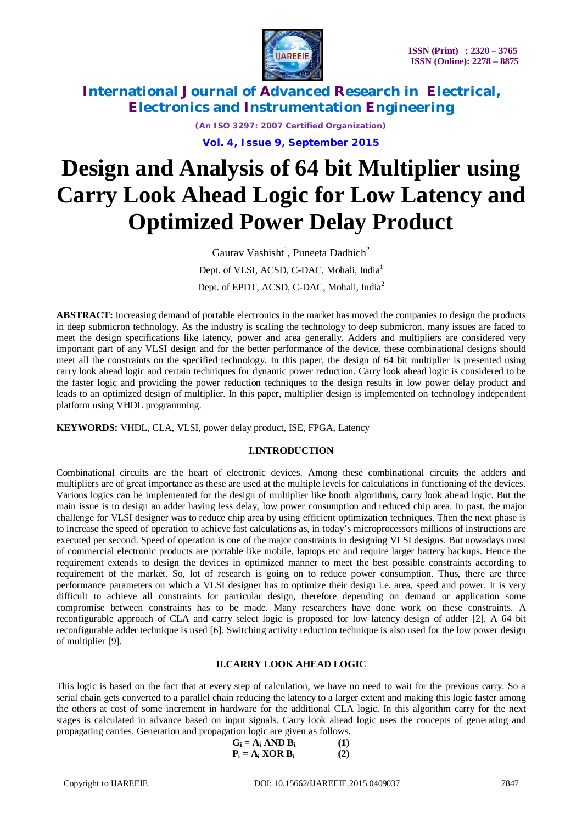

> *(An ISO 3297: 2007 Certified Organization)* **Vol. 4, Issue 9, September 2015**

# **Design and Analysis of 64 bit Multiplier using Carry Look Ahead Logic for Low Latency and Optimized Power Delay Product**

Gaurav Vashisht<sup>1</sup>, Puneeta Dadhich<sup>2</sup> Dept. of VLSI, ACSD, C-DAC, Mohali, India<sup>1</sup> Dept. of EPDT, ACSD, C-DAC, Mohali, India<sup>2</sup>

**ABSTRACT:** Increasing demand of portable electronics in the market has moved the companies to design the products in deep submicron technology. As the industry is scaling the technology to deep submicron, many issues are faced to meet the design specifications like latency, power and area generally. Adders and multipliers are considered very important part of any VLSI design and for the better performance of the device, these combinational designs should meet all the constraints on the specified technology. In this paper, the design of 64 bit multiplier is presented using carry look ahead logic and certain techniques for dynamic power reduction. Carry look ahead logic is considered to be the faster logic and providing the power reduction techniques to the design results in low power delay product and leads to an optimized design of multiplier. In this paper, multiplier design is implemented on technology independent platform using VHDL programming.

**KEYWORDS:** VHDL, CLA, VLSI, power delay product, ISE, FPGA, Latency

### **I.INTRODUCTION**

Combinational circuits are the heart of electronic devices. Among these combinational circuits the adders and multipliers are of great importance as these are used at the multiple levels for calculations in functioning of the devices. Various logics can be implemented for the design of multiplier like booth algorithms, carry look ahead logic. But the main issue is to design an adder having less delay, low power consumption and reduced chip area. In past, the major challenge for VLSI designer was to reduce chip area by using efficient optimization techniques. Then the next phase is to increase the speed of operation to achieve fast calculations as, in today's microprocessors millions of instructions are executed per second. Speed of operation is one of the major constraints in designing VLSI designs. But nowadays most of commercial electronic products are portable like mobile, laptops etc and require larger battery backups. Hence the requirement extends to design the devices in optimized manner to meet the best possible constraints according to requirement of the market. So, lot of research is going on to reduce power consumption. Thus, there are three performance parameters on which a VLSI designer has to optimize their design i.e. area, speed and power. It is very difficult to achieve all constraints for particular design, therefore depending on demand or application some compromise between constraints has to be made. Many researchers have done work on these constraints. A reconfigurable approach of CLA and carry select logic is proposed for low latency design of adder [2]. A 64 bit reconfigurable adder technique is used [6]. Switching activity reduction technique is also used for the low power design of multiplier [9].

### **II.CARRY LOOK AHEAD LOGIC**

This logic is based on the fact that at every step of calculation, we have no need to wait for the previous carry. So a serial chain gets converted to a parallel chain reducing the latency to a larger extent and making this logic faster among the others at cost of some increment in hardware for the additional CLA logic. In this algorithm carry for the next stages is calculated in advance based on input signals. Carry look ahead logic uses the concepts of generating and propagating carries. Generation and propagation logic are given as follows.

$$
G_i = A_i \text{ AND } B_i \tag{1}
$$
  

$$
P_i = A_i \text{ XOR } B_i \tag{2}
$$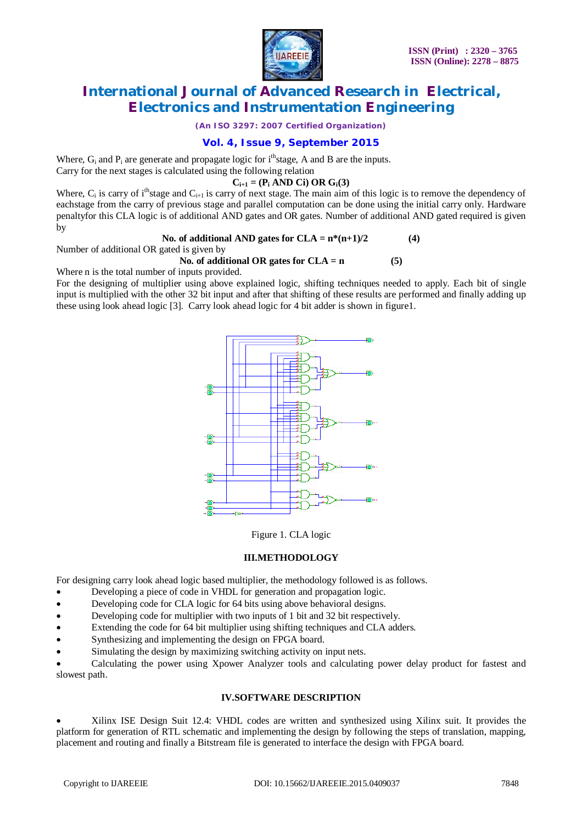

*(An ISO 3297: 2007 Certified Organization)*

### **Vol. 4, Issue 9, September 2015**

Where,  $G_i$  and  $P_i$  are generate and propagate logic for  $i<sup>th</sup>$  stage. A and B are the inputs.

Carry for the next stages is calculated using the following relation

### $C_{i+1} = (P_i \text{ AND } Ci) \text{ OR } G_i(3)$

Where,  $C_i$  is carry of i<sup>th</sup>stage and  $C_{i+1}$  is carry of next stage. The main aim of this logic is to remove the dependency of eachstage from the carry of previous stage and parallel computation can be done using the initial carry only. Hardware penaltyfor this CLA logic is of additional AND gates and OR gates. Number of additional AND gated required is given by

### No. of additional AND gates for  $CLA = n*(n+1)/2$  (4)

Number of additional OR gated is given by

### **No. of additional OR gates for CLA = n (5)**

Where n is the total number of inputs provided.

For the designing of multiplier using above explained logic, shifting techniques needed to apply. Each bit of single input is multiplied with the other 32 bit input and after that shifting of these results are performed and finally adding up these using look ahead logic [3]. Carry look ahead logic for 4 bit adder is shown in figure1.



Figure 1. CLA logic

### **III.METHODOLOGY**

For designing carry look ahead logic based multiplier, the methodology followed is as follows.

- Developing a piece of code in VHDL for generation and propagation logic.
- Developing code for CLA logic for 64 bits using above behavioral designs.
- Developing code for multiplier with two inputs of 1 bit and 32 bit respectively.
- Extending the code for 64 bit multiplier using shifting techniques and CLA adders.
- Synthesizing and implementing the design on FPGA board.
- Simulating the design by maximizing switching activity on input nets.

 Calculating the power using Xpower Analyzer tools and calculating power delay product for fastest and slowest path.

### **IV.SOFTWARE DESCRIPTION**

 Xilinx ISE Design Suit 12.4: VHDL codes are written and synthesized using Xilinx suit. It provides the platform for generation of RTL schematic and implementing the design by following the steps of translation, mapping, placement and routing and finally a Bitstream file is generated to interface the design with FPGA board.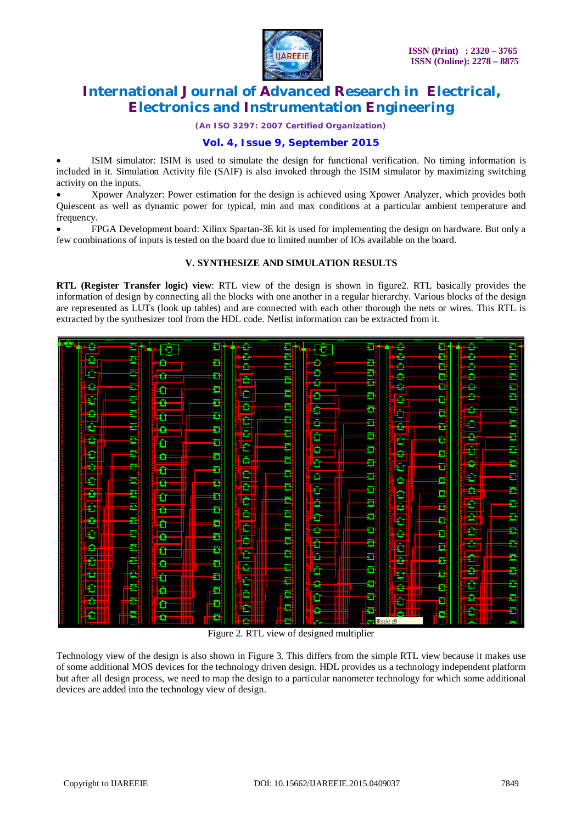

*(An ISO 3297: 2007 Certified Organization)*

### **Vol. 4, Issue 9, September 2015**

 ISIM simulator: ISIM is used to simulate the design for functional verification. No timing information is included in it. Simulation Activity file (SAIF) is also invoked through the ISIM simulator by maximizing switching activity on the inputs.

 Xpower Analyzer: Power estimation for the design is achieved using Xpower Analyzer, which provides both Quiescent as well as dynamic power for typical, min and max conditions at a particular ambient temperature and frequency.

 FPGA Development board: Xilinx Spartan-3E kit is used for implementing the design on hardware. But only a few combinations of inputs is tested on the board due to limited number of IOs available on the board.

### **V. SYNTHESIZE AND SIMULATION RESULTS**

**RTL (Register Transfer logic) view**: RTL view of the design is shown in figure2. RTL basically provides the information of design by connecting all the blocks with one another in a regular hierarchy. Various blocks of the design are represented as LUTs (look up tables) and are connected with each other thorough the nets or wires. This RTL is extracted by the synthesizer tool from the HDL code. Netlist information can be extracted from it.



Figure 2. RTL view of designed multiplier

Technology view of the design is also shown in Figure 3. This differs from the simple RTL view because it makes use of some additional MOS devices for the technology driven design. HDL provides us a technology independent platform but after all design process, we need to map the design to a particular nanometer technology for which some additional devices are added into the technology view of design.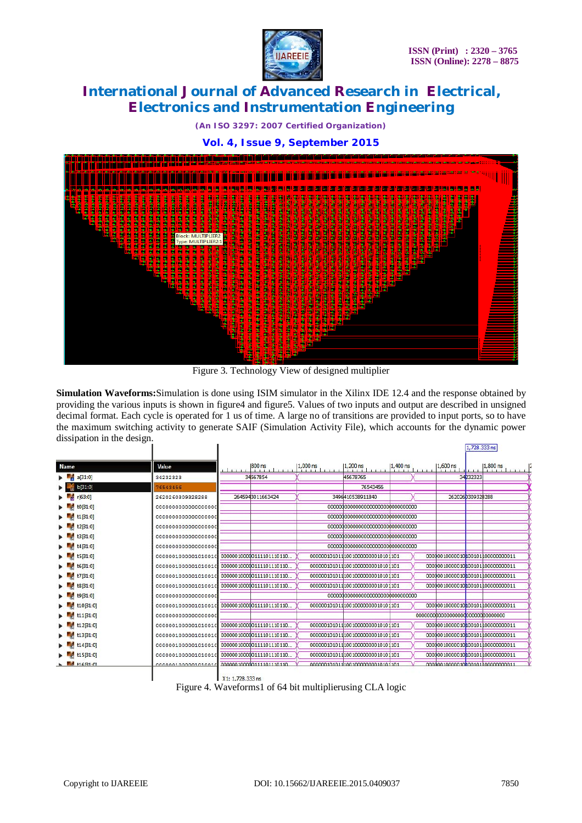

*(An ISO 3297: 2007 Certified Organization)*

**Vol. 4, Issue 9, September 2015**



Figure 3. Technology View of designed multiplier

**Simulation Waveforms:**Simulation is done using ISIM simulator in the Xilinx IDE 12.4 and the response obtained by providing the various inputs is shown in figure4 and figure5. Values of two inputs and output are described in unsigned decimal format. Each cycle is operated for 1 us of time. A large no of transitions are provided to input ports, so to have the maximum switching activity to generate SAIF (Simulation Activity File), which accounts for the dynamic power dissipation in the design.

|             |                     |                           |                     |                                  |            |            | 1,720.333 NS     |                                  |
|-------------|---------------------|---------------------------|---------------------|----------------------------------|------------|------------|------------------|----------------------------------|
| <b>Name</b> | Value               | 800 ns                    | 1,000 ns<br>1.1.1.1 | $1,200$ ns                       | $1,400$ ns | $1,600$ ns |                  | $1,800$ ns                       |
| a[31:0]     | 34232323            | 34567854                  |                     | 45678765                         |            |            | 34232323         |                                  |
| b[31:0]     | 76543456            |                           |                     | 76543456                         |            |            |                  |                                  |
| r[63:0]     | 2620260309328288    | 2645943011663424          |                     | 3496410538911840                 |            |            | 2620260309328288 |                                  |
| t0[31:0]    | 000000000000000000  |                           |                     |                                  |            |            |                  |                                  |
| t1[31:0]    | 000000000000000000  |                           |                     |                                  |            |            |                  |                                  |
| t2[31:0]    | 000000000000000000  |                           |                     |                                  |            |            |                  |                                  |
| t3[31:0]    | 000000000000000000  |                           |                     |                                  |            |            |                  |                                  |
| t4[31:0]    | 000000000000000000  |                           |                     |                                  |            |            |                  |                                  |
| t5[31:0]    | 0000001000001010010 | 000000100000111101110110  |                     | 00000010101110010000000010101101 |            |            |                  | 00000010000010000101000000000011 |
| t6[31:0]    |                     |                           |                     | 00000010101110010000000010101101 |            |            |                  | 00000010000010000101000000000011 |
| t7[31:0]    | 0000001000001010010 | 000000100000111101110110. |                     | 00000010101110010000000010101101 |            |            |                  | 00000010000010000101000000000011 |
| t8[31:0]    | 0000001000001010010 | 000000100000111101110110  |                     | 00000010101110010000000010101101 |            |            |                  | 00000010000010000101000000000011 |
| t9[31:0]    | 000000000000000000  |                           |                     |                                  |            |            |                  |                                  |
| t10[31:0]   | 0000001000001010010 | 000000100000111101110110  |                     | 00000010101110010000000010101101 |            |            |                  | 00000010000010000101000000000011 |
| t11[31:0]   | 000000000000000000  |                           |                     |                                  |            |            |                  |                                  |
| t12[31:0]   |                     |                           |                     | 00000010101110010000000010101101 |            |            |                  | 00000010000010000101000000000011 |
| t13[31:0]   | 0000001000001010010 | 000000100000111101110110  |                     | 00000010101110010000000010101101 |            |            |                  | 00000010000010000101000000000011 |
| t14[31:0]   | 0000001000001010010 | 000000100000111101110110  |                     | 00000010101110010000000010101101 |            |            |                  | 00000010000010000101000000000011 |
| t15[31:0]   | 0000001000001010010 | 000000100000111101110110  |                     | 00000010101110010000000010101101 |            |            |                  | 00000010000010000101000000000011 |
| $-462101$   | 000000100000101001  | 000000100000111101110110  |                     | 000001010111001000000010101101   |            |            |                  | 00000010000010000101000000000011 |

X1: 1,728.333 ns Figure 4. Waveforms1 of 64 bit multiplierusing CLA logic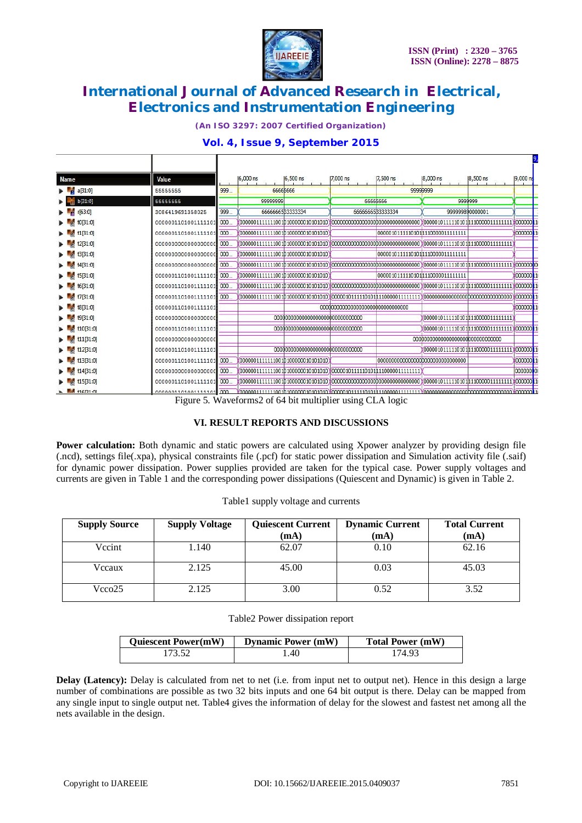

*(An ISO 3297: 2007 Certified Organization)*

# **Vol. 4, Issue 9, September 2015**

Ť.

| <b>Name</b>           | Value               |      | 6,000 ns | 6,500 ns                          | 7,000 ns                                                              | 7,500 ns        | 8,000 ns                                         | 8,500 ns | 19,000 ns |  |
|-----------------------|---------------------|------|----------|-----------------------------------|-----------------------------------------------------------------------|-----------------|--------------------------------------------------|----------|-----------|--|
| a[31:0]               | 55555555            | 999  |          | 6666666                           |                                                                       |                 | 99999999                                         |          |           |  |
| b[31:0]               | 55555555            |      | 99999999 |                                   | 6666666                                                               |                 | 9999999                                          |          |           |  |
| r[63:0]               | 3086419691358025    | 999. |          | 666666583333334                   |                                                                       | 666666583333334 | 999999890000001                                  |          |           |  |
| t0[31:0]              | 0000001101001111101 | 000. |          |                                   |                                                                       |                 |                                                  |          |           |  |
| t1[31:0]              | 0000001101001111101 | 000  |          | 00000011111111001b100000010101010 |                                                                       |                 | 0000010111110101 110000011111111                 |          | 000000 1  |  |
| t2[31:0]              | 000000000000000000  | 000. |          |                                   |                                                                       |                 |                                                  |          |           |  |
| t3[31:0]              | 000000000000000000  | 000. |          | 00000011111111001b100000010101010 |                                                                       |                 | 00000101111101011110000011111111                 |          |           |  |
| t4[31:0]              | 000000000000000000  | 000. |          |                                   |                                                                       |                 |                                                  |          |           |  |
| t5[31:0]              | 0000001101001111101 | 000. |          | 000000111111110010100000010101010 |                                                                       |                 | 0000010111110101 110000011111111                 |          | 000000 1  |  |
| t6[31:0]              | 0000001101001111101 | 000. |          |                                   |                                                                       |                 |                                                  |          |           |  |
| t7[31:0]              | 0000001101001111101 | 000. |          |                                   |                                                                       |                 |                                                  |          | 000000 1  |  |
| t8[31:0]              | 0000001101001111101 |      |          |                                   |                                                                       |                 |                                                  |          | 000000    |  |
| 19[31:0]              | 000000000000000000  |      |          |                                   |                                                                       |                 | 000001011111010111100000111111111                |          |           |  |
| t10[31:0]             | 0000001101001111101 |      |          |                                   |                                                                       |                 | (0000010111110101 1110000011111111  \000000    1 |          |           |  |
| t11[31:0]             | 000000000000000000  |      |          |                                   |                                                                       |                 |                                                  |          |           |  |
| t12[31:0]             | 0000001101001111101 |      |          |                                   |                                                                       |                 | 0000010111110101 110000011111111 X000000 1       |          |           |  |
| t13[31:0]             | 0000001101001111101 | 000. |          | 00000011111111001b100000010101010 |                                                                       |                 |                                                  |          | 000000 1  |  |
| t14 <sub>[31:0]</sub> | 000000000000000000  | 000. |          |                                   | 00000011111111001b100000010101010\%0000010111110101h1100000111111111/ |                 |                                                  |          | 00000000  |  |
| t15[31:0]             | 0000001101001111101 | 000  |          |                                   |                                                                       |                 | ¥0000010111110101h110000011111111¥000000k1       |          |           |  |
| L MARI-M              | 0000001101001111101 | 000  |          |                                   |                                                                       |                 |                                                  |          |           |  |

Figure 5. Waveforms2 of 64 bit multiplier using CLA logic

### **VI. RESULT REPORTS AND DISCUSSIONS**

**Power calculation:** Both dynamic and static powers are calculated using Xpower analyzer by providing design file (.ncd), settings file(.xpa), physical constraints file (.pcf) for static power dissipation and Simulation activity file (.saif) for dynamic power dissipation. Power supplies provided are taken for the typical case. Power supply voltages and currents are given in Table 1 and the corresponding power dissipations (Quiescent and Dynamic) is given in Table 2.

| <b>Supply Source</b> | <b>Supply Voltage</b> | <b>Quiescent Current</b><br>(mA) | <b>Dynamic Current</b><br>(mA) | <b>Total Current</b><br>(mA) |
|----------------------|-----------------------|----------------------------------|--------------------------------|------------------------------|
| Vccint               | 1.140                 | 62.07                            | 0.10                           | 62.16                        |
| Vccaux               | 2.125                 | 45.00                            | 0.03                           | 45.03                        |
| Vcco25               | 2.125                 | 3.00                             | 0.52                           | 3.52                         |

Table1 supply voltage and currents

#### Table2 Power dissipation report

| <b>Quiescent Power(mW)</b> | <b>Dynamic Power (mW)</b> | <b>Total Power (mW)</b> |
|----------------------------|---------------------------|-------------------------|
| 173.52                     | .40                       | 174.93                  |

**Delay** (Latency): Delay is calculated from net to net (i.e. from input net to output net). Hence in this design a large number of combinations are possible as two 32 bits inputs and one 64 bit output is there. Delay can be mapped from any single input to single output net. Table4 gives the information of delay for the slowest and fastest net among all the nets available in the design.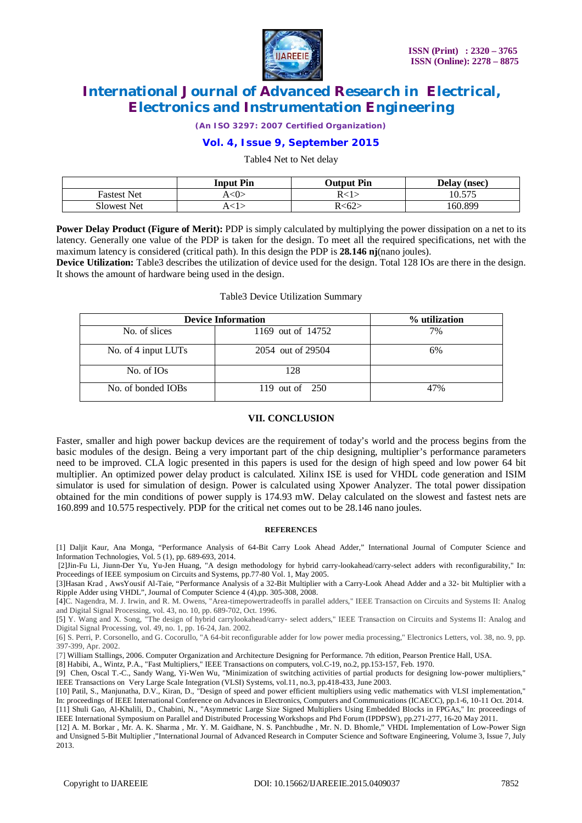

*(An ISO 3297: 2007 Certified Organization)*

### **Vol. 4, Issue 9, September 2015**

Table4 Net to Net delay

|                    | <b>Input Pin</b>    | <b>Output Pin</b> | Delay (nsec) |
|--------------------|---------------------|-------------------|--------------|
| <b>Fastest Net</b> | $\langle 0 \rangle$ | R∠1·              | 10.575       |
| <b>Slowest Net</b> |                     | R<62:             | 160.899      |

**Power Delay Product (Figure of Merit):** PDP is simply calculated by multiplying the power dissipation on a net to its latency. Generally one value of the PDP is taken for the design. To meet all the required specifications, net with the maximum latency is considered (critical path). In this design the PDP is **28.146 nj**(nano joules).

**Device Utilization:** Table3 describes the utilization of device used for the design. Total 128 IOs are there in the design. It shows the amount of hardware being used in the design.

#### Table3 Device Utilization Summary

| <b>Device Information</b> | % utilization     |     |
|---------------------------|-------------------|-----|
| No. of slices             | 1169 out of 14752 | 7%  |
| No. of 4 input LUTs       | 2054 out of 29504 | 6%  |
| No. of IO <sub>s</sub>    | 128               |     |
| No. of bonded IOBs        | 119 out of $250$  | 47% |

#### **VII. CONCLUSION**

Faster, smaller and high power backup devices are the requirement of today's world and the process begins from the basic modules of the design. Being a very important part of the chip designing, multiplier's performance parameters need to be improved. CLA logic presented in this papers is used for the design of high speed and low power 64 bit multiplier. An optimized power delay product is calculated. Xilinx ISE is used for VHDL code generation and ISIM simulator is used for simulation of design. Power is calculated using Xpower Analyzer. The total power dissipation obtained for the min conditions of power supply is 174.93 mW. Delay calculated on the slowest and fastest nets are 160.899 and 10.575 respectively. PDP for the critical net comes out to be 28.146 nano joules.

#### **REFERENCES**

[1] Daljit Kaur, Ana Monga, "Performance Analysis of 64-Bit Carry Look Ahead Adder," International Journal of Computer Science and Information Technologies, Vol. 5 (1), pp. 689-693, 2014.

[2]Jin-Fu Li, Jiunn-Der Yu, Yu-Jen Huang, "A design methodology for hybrid carry-lookahead/carry-select adders with reconfigurability," In: Proceedings of IEEE symposium on Circuits and Systems, pp.77-80 Vol. 1, May 2005.

[3]Hasan Krad , AwsYousif Al-Taie, "Performance Analysis of a 32-Bit Multiplier with a Carry-Look Ahead Adder and a 32- bit Multiplier with a Ripple Adder using VHDL", Journal of Computer Science 4 (4),pp. 305-308, 2008.

[4]C. Nagendra, M. J. Irwin, and R. M. Owens, "Area-timepowertradeoffs in parallel adders," IEEE Transaction on Circuits and Systems II: Analog and Digital Signal Processing, vol. 43, no. 10, pp. 689-702, Oct. 1996.

[5] Y. Wang and X. Song, "The design of hybrid carrylookahead/carry- select adders," IEEE Transaction on Circuits and Systems II: Analog and Digital Signal Processing, vol. 49, no. 1, pp. 16-24, Jan. 2002.

[6] S. Perri, P. Corsonello, and G. Cocorullo, "A 64-bit reconfigurable adder for low power media processing," Electronics Letters, vol. 38, no. 9, pp. 397-399, Apr. 2002.

[7] William Stallings, 2006. Computer Organization and Architecture Designing for Performance. 7th edition, Pearson Prentice Hall, USA.

[8] Habibi, A., Wintz, P.A., "Fast Multipliers," IEEE Transactions on computers, vol.C-19, no.2, pp.153-157, Feb. 1970. [9] Chen, Oscal T.-C., Sandy Wang, Yi-Wen Wu, "Minimization of switching activities of partial products for designing low-power multipliers,"

IEEE Transactions on Very Large Scale Integration (VLSI) Systems, vol.11, no.3, pp.418-433, June 2003.

[10] Patil, S., Manjunatha, D.V., Kiran, D., "Design of speed and power efficient multipliers using vedic mathematics with VLSI implementation," In: proceedings of IEEE International Conference on Advances in Electronics, Computers and Communications (ICAECC), pp.1-6, 10-11 Oct. 2014. [11] Shuli Gao, Al-Khalili, D., Chabini, N., "Asymmetric Large Size Signed Multipliers Using Embedded Blocks in FPGAs," In: proceedings of IEEE International Symposium on Parallel and Distributed Processing Workshops and Phd Forum (IPDPSW), pp.271-277, 16-20 May 2011.

[12] A. M. Borkar , Mr. A. K. Sharma , Mr. Y. M. Gaidhane, N. S. Panchbudhe , Mr. N. D. Bhomle," VHDL Implementation of Low-Power Sign and Unsigned 5-Bit Multiplier ,"International Journal of Advanced Research in Computer Science and Software Engineering, Volume 3, Issue 7, July 2013.